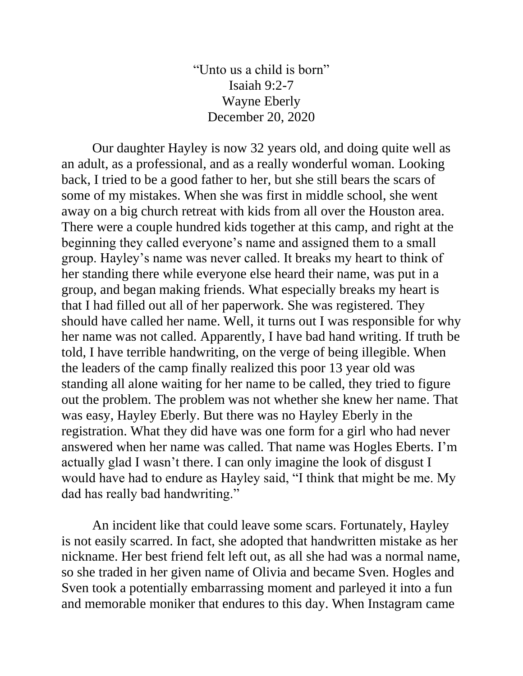"Unto us a child is born" Isaiah 9:2-7 Wayne Eberly December 20, 2020

Our daughter Hayley is now 32 years old, and doing quite well as an adult, as a professional, and as a really wonderful woman. Looking back, I tried to be a good father to her, but she still bears the scars of some of my mistakes. When she was first in middle school, she went away on a big church retreat with kids from all over the Houston area. There were a couple hundred kids together at this camp, and right at the beginning they called everyone's name and assigned them to a small group. Hayley's name was never called. It breaks my heart to think of her standing there while everyone else heard their name, was put in a group, and began making friends. What especially breaks my heart is that I had filled out all of her paperwork. She was registered. They should have called her name. Well, it turns out I was responsible for why her name was not called. Apparently, I have bad hand writing. If truth be told, I have terrible handwriting, on the verge of being illegible. When the leaders of the camp finally realized this poor 13 year old was standing all alone waiting for her name to be called, they tried to figure out the problem. The problem was not whether she knew her name. That was easy, Hayley Eberly. But there was no Hayley Eberly in the registration. What they did have was one form for a girl who had never answered when her name was called. That name was Hogles Eberts. I'm actually glad I wasn't there. I can only imagine the look of disgust I would have had to endure as Hayley said, "I think that might be me. My dad has really bad handwriting."

An incident like that could leave some scars. Fortunately, Hayley is not easily scarred. In fact, she adopted that handwritten mistake as her nickname. Her best friend felt left out, as all she had was a normal name, so she traded in her given name of Olivia and became Sven. Hogles and Sven took a potentially embarrassing moment and parleyed it into a fun and memorable moniker that endures to this day. When Instagram came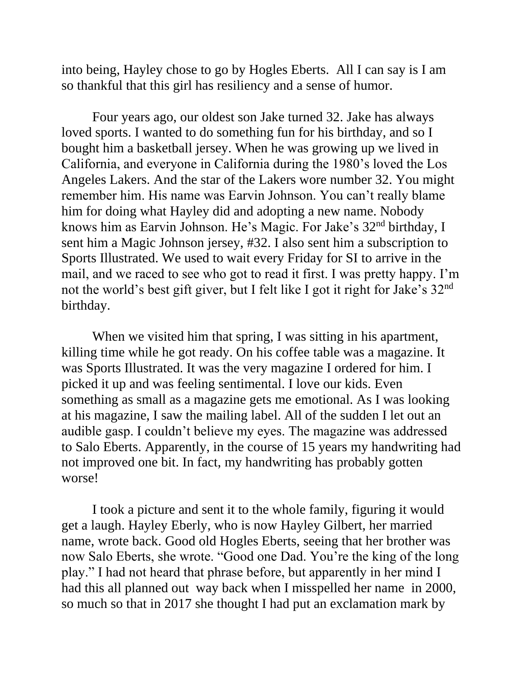into being, Hayley chose to go by Hogles Eberts. All I can say is I am so thankful that this girl has resiliency and a sense of humor.

Four years ago, our oldest son Jake turned 32. Jake has always loved sports. I wanted to do something fun for his birthday, and so I bought him a basketball jersey. When he was growing up we lived in California, and everyone in California during the 1980's loved the Los Angeles Lakers. And the star of the Lakers wore number 32. You might remember him. His name was Earvin Johnson. You can't really blame him for doing what Hayley did and adopting a new name. Nobody knows him as Earvin Johnson. He's Magic. For Jake's 32nd birthday, I sent him a Magic Johnson jersey, #32. I also sent him a subscription to Sports Illustrated. We used to wait every Friday for SI to arrive in the mail, and we raced to see who got to read it first. I was pretty happy. I'm not the world's best gift giver, but I felt like I got it right for Jake's 32nd birthday.

When we visited him that spring, I was sitting in his apartment, killing time while he got ready. On his coffee table was a magazine. It was Sports Illustrated. It was the very magazine I ordered for him. I picked it up and was feeling sentimental. I love our kids. Even something as small as a magazine gets me emotional. As I was looking at his magazine, I saw the mailing label. All of the sudden I let out an audible gasp. I couldn't believe my eyes. The magazine was addressed to Salo Eberts. Apparently, in the course of 15 years my handwriting had not improved one bit. In fact, my handwriting has probably gotten worse!

I took a picture and sent it to the whole family, figuring it would get a laugh. Hayley Eberly, who is now Hayley Gilbert, her married name, wrote back. Good old Hogles Eberts, seeing that her brother was now Salo Eberts, she wrote. "Good one Dad. You're the king of the long play." I had not heard that phrase before, but apparently in her mind I had this all planned out way back when I misspelled her name in 2000, so much so that in 2017 she thought I had put an exclamation mark by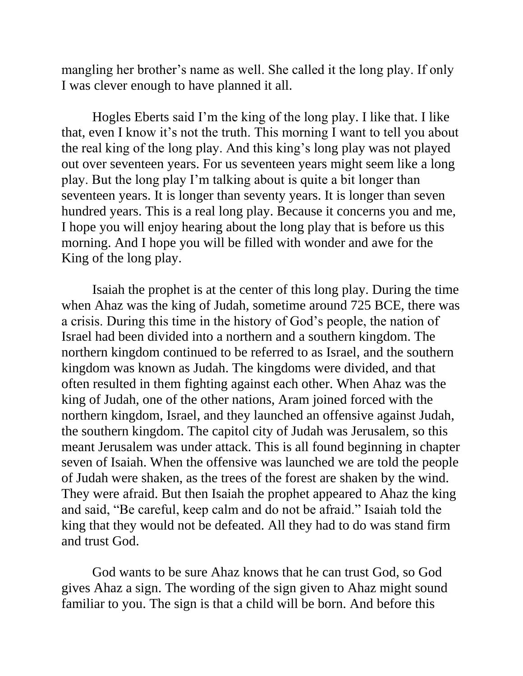mangling her brother's name as well. She called it the long play. If only I was clever enough to have planned it all.

Hogles Eberts said I'm the king of the long play. I like that. I like that, even I know it's not the truth. This morning I want to tell you about the real king of the long play. And this king's long play was not played out over seventeen years. For us seventeen years might seem like a long play. But the long play I'm talking about is quite a bit longer than seventeen years. It is longer than seventy years. It is longer than seven hundred years. This is a real long play. Because it concerns you and me, I hope you will enjoy hearing about the long play that is before us this morning. And I hope you will be filled with wonder and awe for the King of the long play.

Isaiah the prophet is at the center of this long play. During the time when Ahaz was the king of Judah, sometime around 725 BCE, there was a crisis. During this time in the history of God's people, the nation of Israel had been divided into a northern and a southern kingdom. The northern kingdom continued to be referred to as Israel, and the southern kingdom was known as Judah. The kingdoms were divided, and that often resulted in them fighting against each other. When Ahaz was the king of Judah, one of the other nations, Aram joined forced with the northern kingdom, Israel, and they launched an offensive against Judah, the southern kingdom. The capitol city of Judah was Jerusalem, so this meant Jerusalem was under attack. This is all found beginning in chapter seven of Isaiah. When the offensive was launched we are told the people of Judah were shaken, as the trees of the forest are shaken by the wind. They were afraid. But then Isaiah the prophet appeared to Ahaz the king and said, "Be careful, keep calm and do not be afraid." Isaiah told the king that they would not be defeated. All they had to do was stand firm and trust God.

God wants to be sure Ahaz knows that he can trust God, so God gives Ahaz a sign. The wording of the sign given to Ahaz might sound familiar to you. The sign is that a child will be born. And before this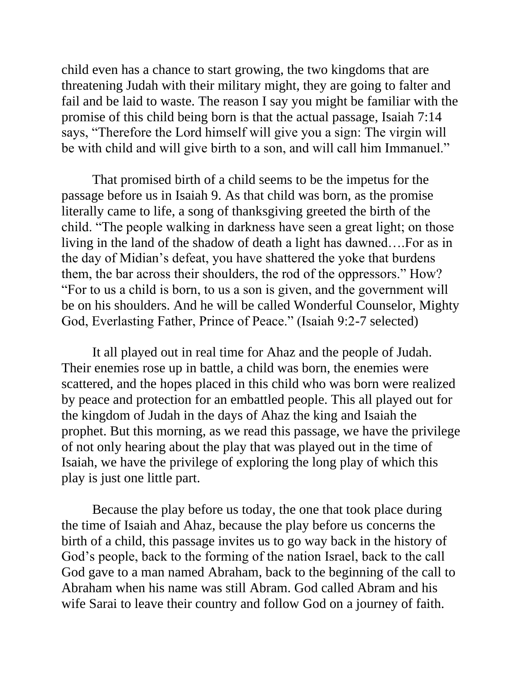child even has a chance to start growing, the two kingdoms that are threatening Judah with their military might, they are going to falter and fail and be laid to waste. The reason I say you might be familiar with the promise of this child being born is that the actual passage, Isaiah 7:14 says, "Therefore the Lord himself will give you a sign: The virgin will be with child and will give birth to a son, and will call him Immanuel."

That promised birth of a child seems to be the impetus for the passage before us in Isaiah 9. As that child was born, as the promise literally came to life, a song of thanksgiving greeted the birth of the child. "The people walking in darkness have seen a great light; on those living in the land of the shadow of death a light has dawned….For as in the day of Midian's defeat, you have shattered the yoke that burdens them, the bar across their shoulders, the rod of the oppressors." How? "For to us a child is born, to us a son is given, and the government will be on his shoulders. And he will be called Wonderful Counselor, Mighty God, Everlasting Father, Prince of Peace." (Isaiah 9:2-7 selected)

It all played out in real time for Ahaz and the people of Judah. Their enemies rose up in battle, a child was born, the enemies were scattered, and the hopes placed in this child who was born were realized by peace and protection for an embattled people. This all played out for the kingdom of Judah in the days of Ahaz the king and Isaiah the prophet. But this morning, as we read this passage, we have the privilege of not only hearing about the play that was played out in the time of Isaiah, we have the privilege of exploring the long play of which this play is just one little part.

Because the play before us today, the one that took place during the time of Isaiah and Ahaz, because the play before us concerns the birth of a child, this passage invites us to go way back in the history of God's people, back to the forming of the nation Israel, back to the call God gave to a man named Abraham, back to the beginning of the call to Abraham when his name was still Abram. God called Abram and his wife Sarai to leave their country and follow God on a journey of faith.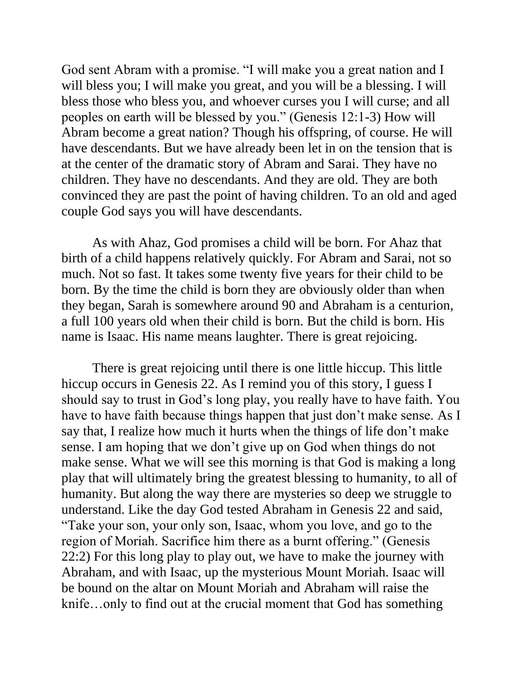God sent Abram with a promise. "I will make you a great nation and I will bless you; I will make you great, and you will be a blessing. I will bless those who bless you, and whoever curses you I will curse; and all peoples on earth will be blessed by you." (Genesis 12:1-3) How will Abram become a great nation? Though his offspring, of course. He will have descendants. But we have already been let in on the tension that is at the center of the dramatic story of Abram and Sarai. They have no children. They have no descendants. And they are old. They are both convinced they are past the point of having children. To an old and aged couple God says you will have descendants.

As with Ahaz, God promises a child will be born. For Ahaz that birth of a child happens relatively quickly. For Abram and Sarai, not so much. Not so fast. It takes some twenty five years for their child to be born. By the time the child is born they are obviously older than when they began, Sarah is somewhere around 90 and Abraham is a centurion, a full 100 years old when their child is born. But the child is born. His name is Isaac. His name means laughter. There is great rejoicing.

There is great rejoicing until there is one little hiccup. This little hiccup occurs in Genesis 22. As I remind you of this story, I guess I should say to trust in God's long play, you really have to have faith. You have to have faith because things happen that just don't make sense. As I say that, I realize how much it hurts when the things of life don't make sense. I am hoping that we don't give up on God when things do not make sense. What we will see this morning is that God is making a long play that will ultimately bring the greatest blessing to humanity, to all of humanity. But along the way there are mysteries so deep we struggle to understand. Like the day God tested Abraham in Genesis 22 and said, "Take your son, your only son, Isaac, whom you love, and go to the region of Moriah. Sacrifice him there as a burnt offering." (Genesis 22:2) For this long play to play out, we have to make the journey with Abraham, and with Isaac, up the mysterious Mount Moriah. Isaac will be bound on the altar on Mount Moriah and Abraham will raise the knife…only to find out at the crucial moment that God has something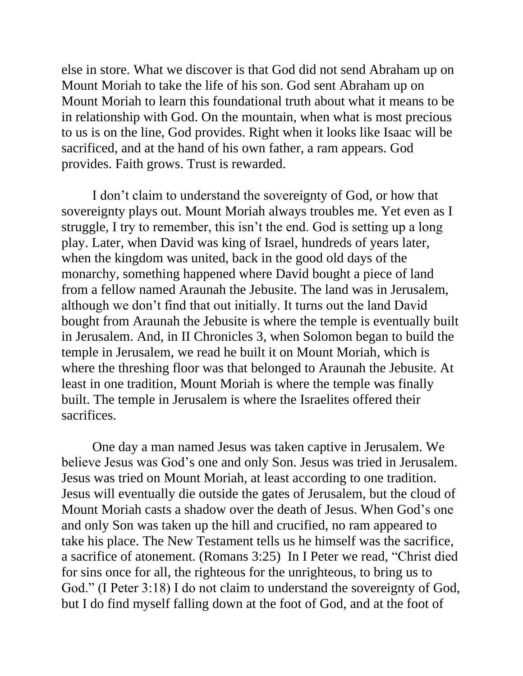else in store. What we discover is that God did not send Abraham up on Mount Moriah to take the life of his son. God sent Abraham up on Mount Moriah to learn this foundational truth about what it means to be in relationship with God. On the mountain, when what is most precious to us is on the line, God provides. Right when it looks like Isaac will be sacrificed, and at the hand of his own father, a ram appears. God provides. Faith grows. Trust is rewarded.

I don't claim to understand the sovereignty of God, or how that sovereignty plays out. Mount Moriah always troubles me. Yet even as I struggle, I try to remember, this isn't the end. God is setting up a long play. Later, when David was king of Israel, hundreds of years later, when the kingdom was united, back in the good old days of the monarchy, something happened where David bought a piece of land from a fellow named Araunah the Jebusite. The land was in Jerusalem, although we don't find that out initially. It turns out the land David bought from Araunah the Jebusite is where the temple is eventually built in Jerusalem. And, in II Chronicles 3, when Solomon began to build the temple in Jerusalem, we read he built it on Mount Moriah, which is where the threshing floor was that belonged to Araunah the Jebusite. At least in one tradition, Mount Moriah is where the temple was finally built. The temple in Jerusalem is where the Israelites offered their sacrifices.

One day a man named Jesus was taken captive in Jerusalem. We believe Jesus was God's one and only Son. Jesus was tried in Jerusalem. Jesus was tried on Mount Moriah, at least according to one tradition. Jesus will eventually die outside the gates of Jerusalem, but the cloud of Mount Moriah casts a shadow over the death of Jesus. When God's one and only Son was taken up the hill and crucified, no ram appeared to take his place. The New Testament tells us he himself was the sacrifice, a sacrifice of atonement. (Romans 3:25) In I Peter we read, "Christ died for sins once for all, the righteous for the unrighteous, to bring us to God." (I Peter 3:18) I do not claim to understand the sovereignty of God, but I do find myself falling down at the foot of God, and at the foot of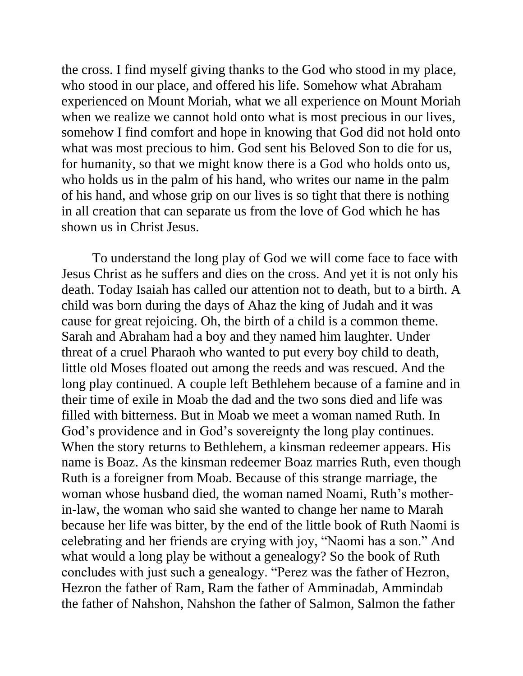the cross. I find myself giving thanks to the God who stood in my place, who stood in our place, and offered his life. Somehow what Abraham experienced on Mount Moriah, what we all experience on Mount Moriah when we realize we cannot hold onto what is most precious in our lives, somehow I find comfort and hope in knowing that God did not hold onto what was most precious to him. God sent his Beloved Son to die for us, for humanity, so that we might know there is a God who holds onto us, who holds us in the palm of his hand, who writes our name in the palm of his hand, and whose grip on our lives is so tight that there is nothing in all creation that can separate us from the love of God which he has shown us in Christ Jesus.

To understand the long play of God we will come face to face with Jesus Christ as he suffers and dies on the cross. And yet it is not only his death. Today Isaiah has called our attention not to death, but to a birth. A child was born during the days of Ahaz the king of Judah and it was cause for great rejoicing. Oh, the birth of a child is a common theme. Sarah and Abraham had a boy and they named him laughter. Under threat of a cruel Pharaoh who wanted to put every boy child to death, little old Moses floated out among the reeds and was rescued. And the long play continued. A couple left Bethlehem because of a famine and in their time of exile in Moab the dad and the two sons died and life was filled with bitterness. But in Moab we meet a woman named Ruth. In God's providence and in God's sovereignty the long play continues. When the story returns to Bethlehem, a kinsman redeemer appears. His name is Boaz. As the kinsman redeemer Boaz marries Ruth, even though Ruth is a foreigner from Moab. Because of this strange marriage, the woman whose husband died, the woman named Noami, Ruth's motherin-law, the woman who said she wanted to change her name to Marah because her life was bitter, by the end of the little book of Ruth Naomi is celebrating and her friends are crying with joy, "Naomi has a son." And what would a long play be without a genealogy? So the book of Ruth concludes with just such a genealogy. "Perez was the father of Hezron, Hezron the father of Ram, Ram the father of Amminadab, Ammindab the father of Nahshon, Nahshon the father of Salmon, Salmon the father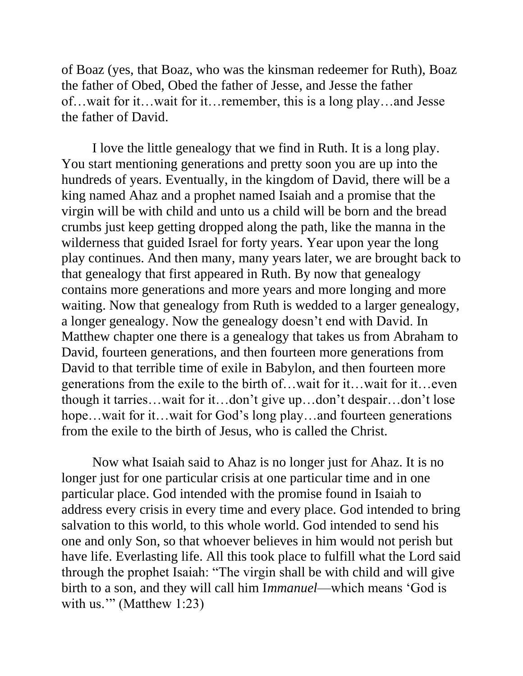of Boaz (yes, that Boaz, who was the kinsman redeemer for Ruth), Boaz the father of Obed, Obed the father of Jesse, and Jesse the father of…wait for it…wait for it…remember, this is a long play…and Jesse the father of David.

I love the little genealogy that we find in Ruth. It is a long play. You start mentioning generations and pretty soon you are up into the hundreds of years. Eventually, in the kingdom of David, there will be a king named Ahaz and a prophet named Isaiah and a promise that the virgin will be with child and unto us a child will be born and the bread crumbs just keep getting dropped along the path, like the manna in the wilderness that guided Israel for forty years. Year upon year the long play continues. And then many, many years later, we are brought back to that genealogy that first appeared in Ruth. By now that genealogy contains more generations and more years and more longing and more waiting. Now that genealogy from Ruth is wedded to a larger genealogy, a longer genealogy. Now the genealogy doesn't end with David. In Matthew chapter one there is a genealogy that takes us from Abraham to David, fourteen generations, and then fourteen more generations from David to that terrible time of exile in Babylon, and then fourteen more generations from the exile to the birth of…wait for it…wait for it…even though it tarries…wait for it…don't give up…don't despair…don't lose hope...wait for it...wait for God's long play...and fourteen generations from the exile to the birth of Jesus, who is called the Christ.

Now what Isaiah said to Ahaz is no longer just for Ahaz. It is no longer just for one particular crisis at one particular time and in one particular place. God intended with the promise found in Isaiah to address every crisis in every time and every place. God intended to bring salvation to this world, to this whole world. God intended to send his one and only Son, so that whoever believes in him would not perish but have life. Everlasting life. All this took place to fulfill what the Lord said through the prophet Isaiah: "The virgin shall be with child and will give birth to a son, and they will call him I*mmanuel*—which means 'God is with us."" (Matthew 1:23)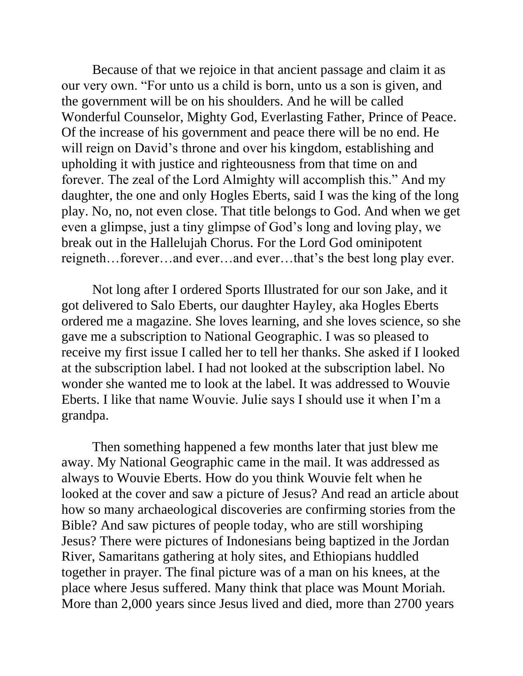Because of that we rejoice in that ancient passage and claim it as our very own. "For unto us a child is born, unto us a son is given, and the government will be on his shoulders. And he will be called Wonderful Counselor, Mighty God, Everlasting Father, Prince of Peace. Of the increase of his government and peace there will be no end. He will reign on David's throne and over his kingdom, establishing and upholding it with justice and righteousness from that time on and forever. The zeal of the Lord Almighty will accomplish this." And my daughter, the one and only Hogles Eberts, said I was the king of the long play. No, no, not even close. That title belongs to God. And when we get even a glimpse, just a tiny glimpse of God's long and loving play, we break out in the Hallelujah Chorus. For the Lord God ominipotent reigneth…forever…and ever…and ever…that's the best long play ever.

Not long after I ordered Sports Illustrated for our son Jake, and it got delivered to Salo Eberts, our daughter Hayley, aka Hogles Eberts ordered me a magazine. She loves learning, and she loves science, so she gave me a subscription to National Geographic. I was so pleased to receive my first issue I called her to tell her thanks. She asked if I looked at the subscription label. I had not looked at the subscription label. No wonder she wanted me to look at the label. It was addressed to Wouvie Eberts. I like that name Wouvie. Julie says I should use it when I'm a grandpa.

Then something happened a few months later that just blew me away. My National Geographic came in the mail. It was addressed as always to Wouvie Eberts. How do you think Wouvie felt when he looked at the cover and saw a picture of Jesus? And read an article about how so many archaeological discoveries are confirming stories from the Bible? And saw pictures of people today, who are still worshiping Jesus? There were pictures of Indonesians being baptized in the Jordan River, Samaritans gathering at holy sites, and Ethiopians huddled together in prayer. The final picture was of a man on his knees, at the place where Jesus suffered. Many think that place was Mount Moriah. More than 2,000 years since Jesus lived and died, more than 2700 years